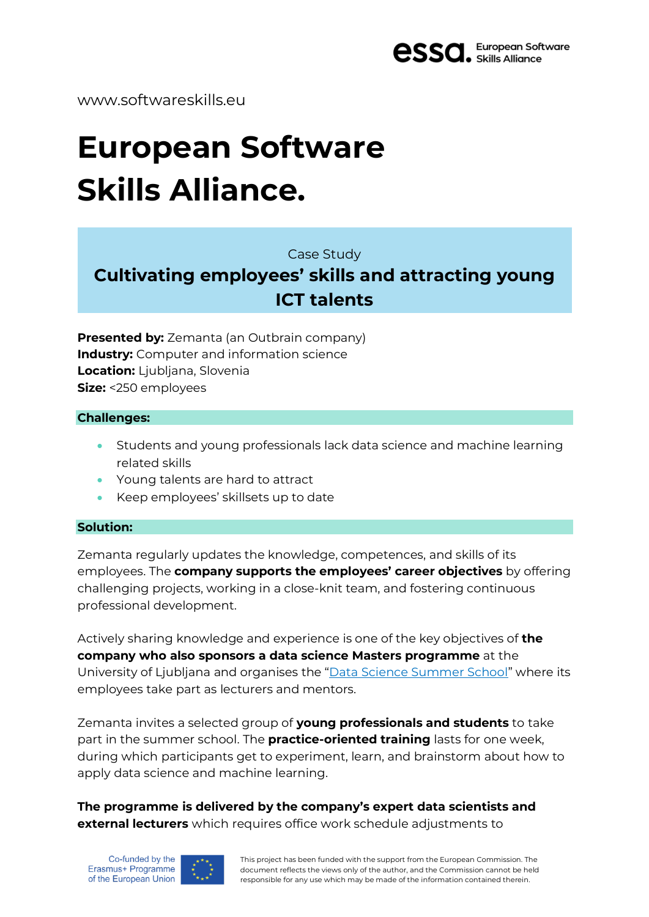

www.softwareskills.eu

# **European Software Skills Alliance.**

Case Study

# **Cultivating employees' skills and attracting young ICT talents**

**Presented by:** Zemanta (an Outbrain company) **Industry:** Computer and information science **Location:** Ljubljana, Slovenia **Size:** <250 employees

#### **Challenges:**

- Students and young professionals lack data science and machine learning related skills
- Young talents are hard to attract
- Keep employees' skillsets up to date

### **Solution:**

Zemanta regularly updates the knowledge, competences, and skills of its employees. The **company supports the employees' career objectives** by offering challenging projects, working in a close-knit team, and fostering continuous professional development.

Actively sharing knowledge and experience is one of the key objectives of **the company who also sponsors a data science Masters programme** at the University of Ljubljana and organises the "Data Science [Summer](https://zemanta-datascience.squarespace.com/) School" where its employees take part as lecturers and mentors.

Zemanta invites a selected group of **young professionals and students** to take part in the summer school. The **practice-oriented training** lasts for one week, during which participants get to experiment, learn, and brainstorm about how to apply data science and machine learning.

**The programme is delivered by the company's expert data scientists and external lecturers** which requires office work schedule adjustments to



This project has been funded with the support from the European Commission. The document reflects the views only of the author, and the Commission cannot be held responsible for any use which may be made of the information contained therein.